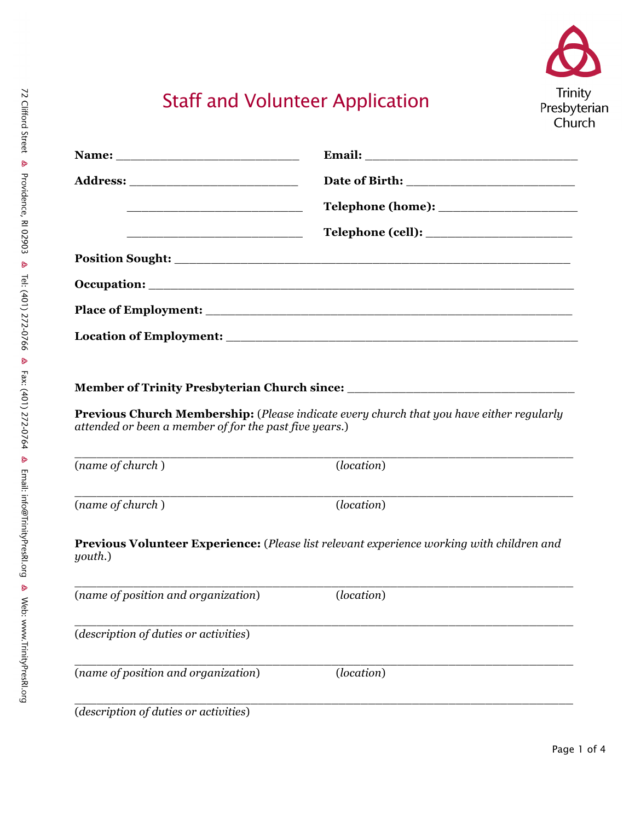

# Staff and Volunteer Application

| <u> 1990 - Johann John Harry Harry Harry Harry Harry Harry Harry Harry Harry Harry Harry Harry Harry Harry Harry</u> |                                                                                                  |  |  |
|----------------------------------------------------------------------------------------------------------------------|--------------------------------------------------------------------------------------------------|--|--|
|                                                                                                                      |                                                                                                  |  |  |
|                                                                                                                      |                                                                                                  |  |  |
|                                                                                                                      |                                                                                                  |  |  |
|                                                                                                                      |                                                                                                  |  |  |
|                                                                                                                      |                                                                                                  |  |  |
|                                                                                                                      |                                                                                                  |  |  |
|                                                                                                                      | Member of Trinity Presbyterian Church since: ___________________________________                 |  |  |
| attended or been a member of for the past five years.)                                                               | Previous Church Membership: (Please indicate every church that you have either regularly         |  |  |
| (name of church)                                                                                                     | (location)                                                                                       |  |  |
| (name of church)                                                                                                     | (location)                                                                                       |  |  |
| youth.)                                                                                                              | <b>Previous Volunteer Experience:</b> (Please list relevant experience working with children and |  |  |
| (name of position and organization)                                                                                  | ( <i>location</i> )                                                                              |  |  |
| (description of duties or activities)                                                                                |                                                                                                  |  |  |
| (name of position and organization)                                                                                  | (location)                                                                                       |  |  |
| (description of duties or activities)                                                                                |                                                                                                  |  |  |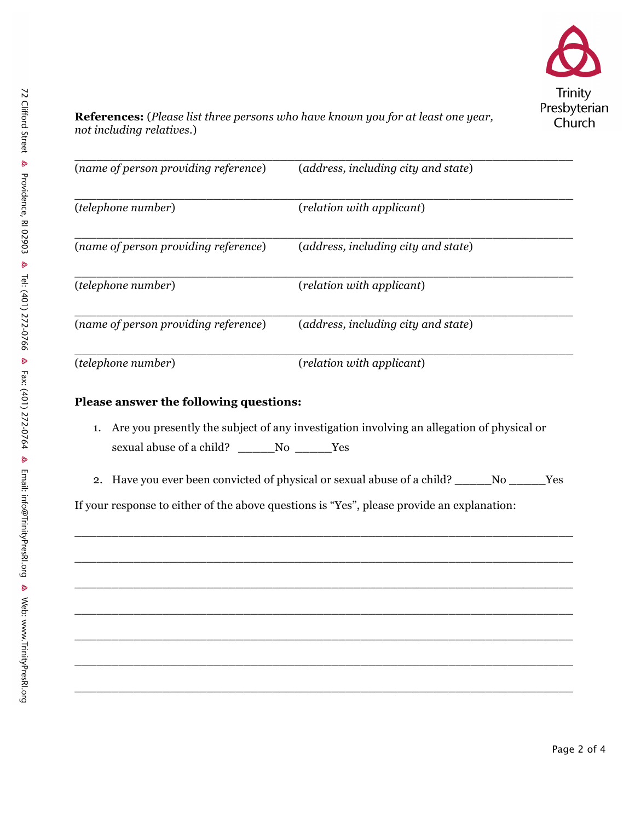

**References:** (*Please list three persons who have known you for at least one year, not including relatives*.)

| (name of person providing reference) | (address, including city and state) |  |  |
|--------------------------------------|-------------------------------------|--|--|
| <i>(telephone number)</i>            | (relation with applicant)           |  |  |
| (name of person providing reference) | (address, including city and state) |  |  |
| (telephone number)                   | (relation with applicant)           |  |  |
| (name of person providing reference) | (address, including city and state) |  |  |
| (telephone number)                   | (relation with applicant)           |  |  |

### **Please answer the following questions:**

- 1. Are you presently the subject of any investigation involving an allegation of physical or sexual abuse of a child? \_\_\_\_\_No \_\_\_\_Yes
- 2. Have you ever been convicted of physical or sexual abuse of a child? \_\_\_\_\_No \_\_\_\_\_Yes

 $\overline{a}$  ,  $\overline{a}$  ,  $\overline{a}$  ,  $\overline{a}$  ,  $\overline{a}$  ,  $\overline{a}$  ,  $\overline{a}$  ,  $\overline{a}$  ,  $\overline{a}$  ,  $\overline{a}$  ,  $\overline{a}$  ,  $\overline{a}$  ,  $\overline{a}$  ,  $\overline{a}$  ,  $\overline{a}$  ,  $\overline{a}$  ,  $\overline{a}$  ,  $\overline{a}$  ,  $\overline{a}$  ,  $\overline{a}$  ,

\_\_\_\_\_\_\_\_\_\_\_\_\_\_\_\_\_\_\_\_\_\_\_\_\_\_\_\_\_\_\_\_\_\_\_\_\_\_\_\_\_\_\_\_\_\_\_\_\_\_\_\_\_\_\_\_\_\_\_\_\_\_\_\_\_\_\_\_

 $\overline{a}$  ,  $\overline{a}$  ,  $\overline{a}$  ,  $\overline{a}$  ,  $\overline{a}$  ,  $\overline{a}$  ,  $\overline{a}$  ,  $\overline{a}$  ,  $\overline{a}$  ,  $\overline{a}$  ,  $\overline{a}$  ,  $\overline{a}$  ,  $\overline{a}$  ,  $\overline{a}$  ,  $\overline{a}$  ,  $\overline{a}$  ,  $\overline{a}$  ,  $\overline{a}$  ,  $\overline{a}$  ,  $\overline{a}$  ,

\_\_\_\_\_\_\_\_\_\_\_\_\_\_\_\_\_\_\_\_\_\_\_\_\_\_\_\_\_\_\_\_\_\_\_\_\_\_\_\_\_\_\_\_\_\_\_\_\_\_\_\_\_\_\_\_\_\_\_\_\_\_\_\_\_\_\_\_

\_\_\_\_\_\_\_\_\_\_\_\_\_\_\_\_\_\_\_\_\_\_\_\_\_\_\_\_\_\_\_\_\_\_\_\_\_\_\_\_\_\_\_\_\_\_\_\_\_\_\_\_\_\_\_\_\_\_\_\_\_\_\_\_\_\_\_\_

\_\_\_\_\_\_\_\_\_\_\_\_\_\_\_\_\_\_\_\_\_\_\_\_\_\_\_\_\_\_\_\_\_\_\_\_\_\_\_\_\_\_\_\_\_\_\_\_\_\_\_\_\_\_\_\_\_\_\_\_\_\_\_\_\_\_\_\_

 $\overline{a}$  ,  $\overline{a}$  ,  $\overline{a}$  ,  $\overline{a}$  ,  $\overline{a}$  ,  $\overline{a}$  ,  $\overline{a}$  ,  $\overline{a}$  ,  $\overline{a}$  ,  $\overline{a}$  ,  $\overline{a}$  ,  $\overline{a}$  ,  $\overline{a}$  ,  $\overline{a}$  ,  $\overline{a}$  ,  $\overline{a}$  ,  $\overline{a}$  ,  $\overline{a}$  ,  $\overline{a}$  ,  $\overline{a}$  ,

If your response to either of the above questions is "Yes", please provide an explanation: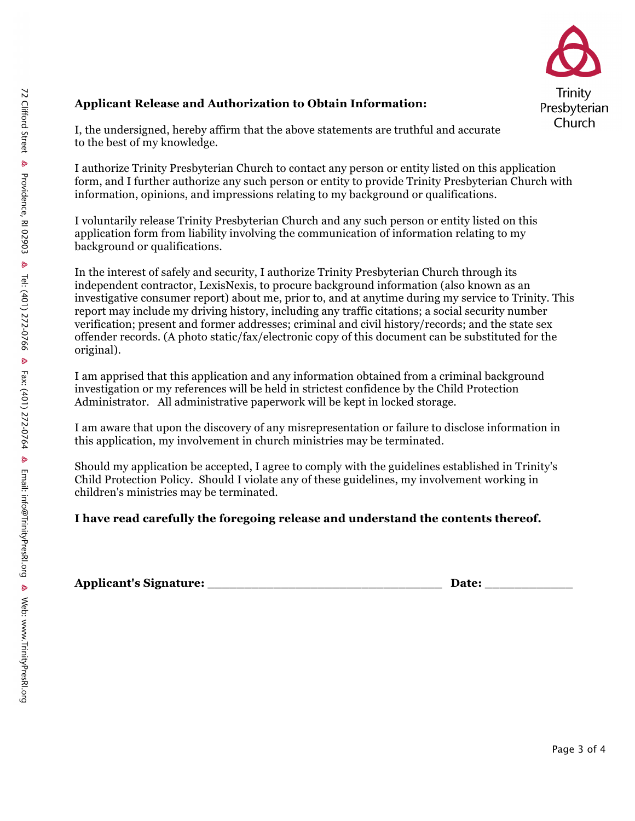

### **Applicant Release and Authorization to Obtain Information:**

I, the undersigned, hereby affirm that the above statements are truthful and accurate to the best of my knowledge.

I authorize Trinity Presbyterian Church to contact any person or entity listed on this application form, and I further authorize any such person or entity to provide Trinity Presbyterian Church with information, opinions, and impressions relating to my background or qualifications.

I voluntarily release Trinity Presbyterian Church and any such person or entity listed on this application form from liability involving the communication of information relating to my background or qualifications.

In the interest of safely and security, I authorize Trinity Presbyterian Church through its independent contractor, LexisNexis, to procure background information (also known as an investigative consumer report) about me, prior to, and at anytime during my service to Trinity. This report may include my driving history, including any traffic citations; a social security number verification; present and former addresses; criminal and civil history/records; and the state sex offender records. (A photo static/fax/electronic copy of this document can be substituted for the original).

I am apprised that this application and any information obtained from a criminal background investigation or my references will be held in strictest confidence by the Child Protection Administrator. All administrative paperwork will be kept in locked storage.

I am aware that upon the discovery of any misrepresentation or failure to disclose information in this application, my involvement in church ministries may be terminated.

Should my application be accepted, I agree to comply with the guidelines established in Trinity's Child Protection Policy. Should I violate any of these guidelines, my involvement working in children's ministries may be terminated.

#### **I have read carefully the foregoing release and understand the contents thereof.**

**Applicant's Signature:** \_\_\_\_\_\_\_\_\_\_\_\_\_\_\_\_\_\_\_\_\_\_\_\_\_\_\_\_\_\_\_\_ **Date:** \_\_\_\_\_\_\_\_\_\_\_\_